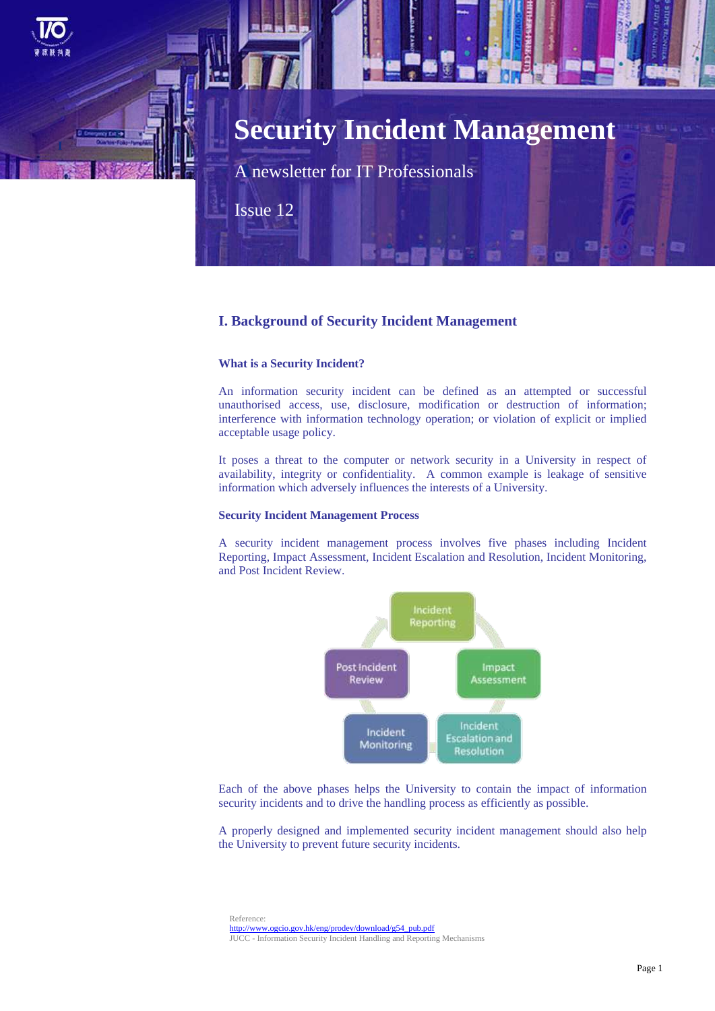

# **Security Incident Management**

A newsletter for IT Professionals

Issue 12

# **I. Background of Security Incident Management**

#### **What is a Security Incident?**

An information security incident can be defined as an attempted or successful unauthorised access, use, disclosure, modification or destruction of information; interference with information technology operation; or violation of explicit or implied acceptable usage policy.

It poses a threat to the computer or network security in a University in respect of availability, integrity or confidentiality. A common example is leakage of sensitive information which adversely influences the interests of a University.

#### **Security Incident Management Process**

A security incident management process involves five phases including Incident Reporting, Impact Assessment, Incident Escalation and Resolution, Incident Monitoring, and Post Incident Review.



Each of the above phases helps the University to contain the impact of information security incidents and to drive the handling process as efficiently as possible.

A properly designed and implemented security incident management should also help the University to prevent future security incidents.

Reference: [http://www.ogcio.gov.hk/eng/prodev/download/g54\\_pub.pdf](http://www.ogcio.gov.hk/eng/prodev/download/g54_pub.pdf) JUCC - Information Security Incident Handling and Reporting Mechanisms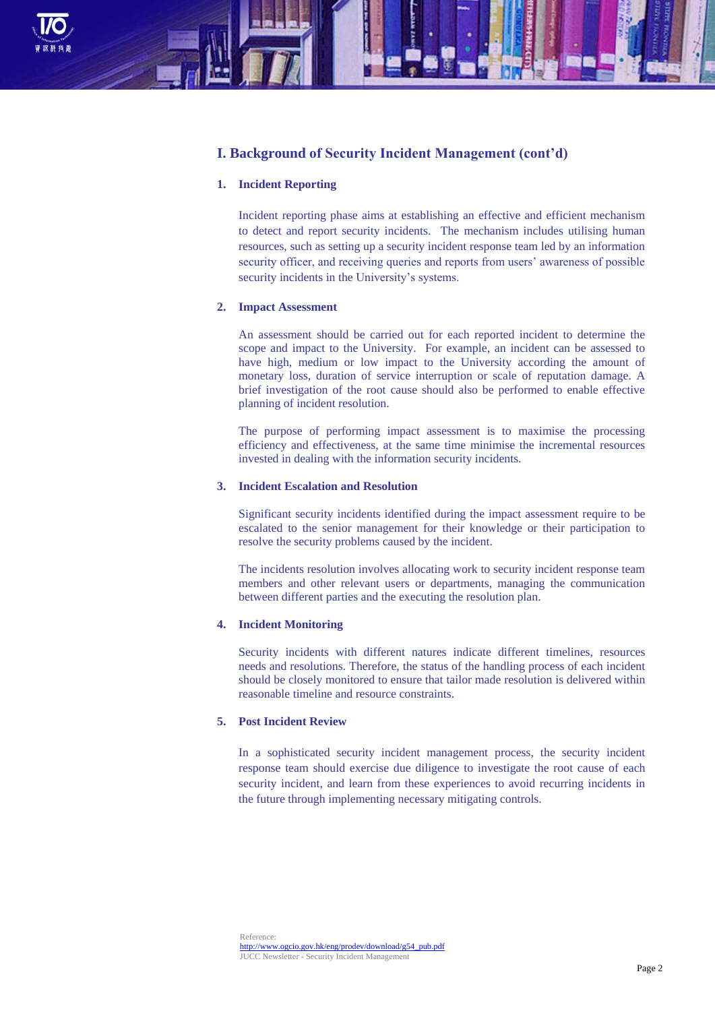

# **I. Background of Security Incident Management (cont'd)**

#### **1. Incident Reporting**

Incident reporting phase aims at establishing an effective and efficient mechanism to detect and report security incidents. The mechanism includes utilising human resources, such as setting up a security incident response team led by an information security officer, and receiving queries and reports from users' awareness of possible security incidents in the University's systems.

# **2. Impact Assessment**

An assessment should be carried out for each reported incident to determine the scope and impact to the University. For example, an incident can be assessed to have high, medium or low impact to the University according the amount of monetary loss, duration of service interruption or scale of reputation damage. A brief investigation of the root cause should also be performed to enable effective planning of incident resolution.

The purpose of performing impact assessment is to maximise the processing efficiency and effectiveness, at the same time minimise the incremental resources invested in dealing with the information security incidents.

## **3. Incident Escalation and Resolution**

Significant security incidents identified during the impact assessment require to be escalated to the senior management for their knowledge or their participation to resolve the security problems caused by the incident.

The incidents resolution involves allocating work to security incident response team members and other relevant users or departments, managing the communication between different parties and the executing the resolution plan.

# **4. Incident Monitoring**

Security incidents with different natures indicate different timelines, resources needs and resolutions. Therefore, the status of the handling process of each incident should be closely monitored to ensure that tailor made resolution is delivered within reasonable timeline and resource constraints.

# **5. Post Incident Review**

In a sophisticated security incident management process, the security incident response team should exercise due diligence to investigate the root cause of each security incident, and learn from these experiences to avoid recurring incidents in the future through implementing necessary mitigating controls.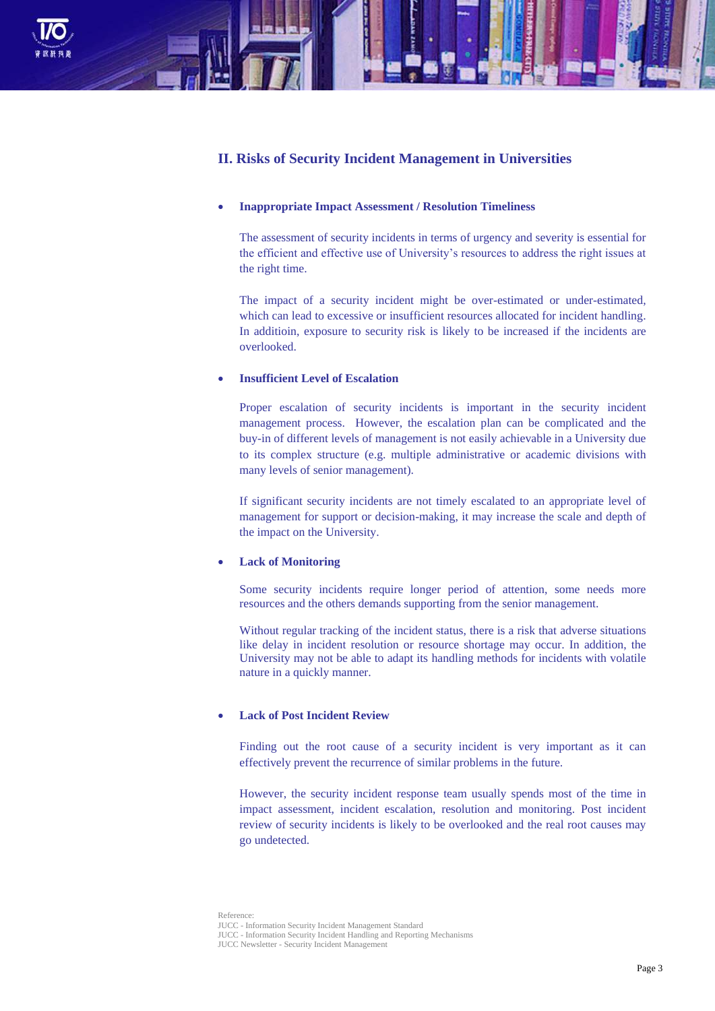

# **II. Risks of Security Incident Management in Universities**

#### **Inappropriate Impact Assessment / Resolution Timeliness**

The assessment of security incidents in terms of urgency and severity is essential for the efficient and effective use of University's resources to address the right issues at the right time.

The impact of a security incident might be over-estimated or under-estimated, which can lead to excessive or insufficient resources allocated for incident handling. In additioin, exposure to security risk is likely to be increased if the incidents are overlooked.

# **Insufficient Level of Escalation**

Proper escalation of security incidents is important in the security incident management process. However, the escalation plan can be complicated and the buy-in of different levels of management is not easily achievable in a University due to its complex structure (e.g. multiple administrative or academic divisions with many levels of senior management).

If significant security incidents are not timely escalated to an appropriate level of management for support or decision-making, it may increase the scale and depth of the impact on the University.

## **Lack of Monitoring**

Some security incidents require longer period of attention, some needs more resources and the others demands supporting from the senior management.

Without regular tracking of the incident status, there is a risk that adverse situations like delay in incident resolution or resource shortage may occur. In addition, the University may not be able to adapt its handling methods for incidents with volatile nature in a quickly manner.

# **Lack of Post Incident Review**

Finding out the root cause of a security incident is very important as it can effectively prevent the recurrence of similar problems in the future.

However, the security incident response team usually spends most of the time in impact assessment, incident escalation, resolution and monitoring. Post incident review of security incidents is likely to be overlooked and the real root causes may go undetected.

Reference: JUCC - Information Security Incident Management Standard JUCC - Information Security Incident Handling and Reporting Mechanisms JUCC Newsletter - Security Incident Management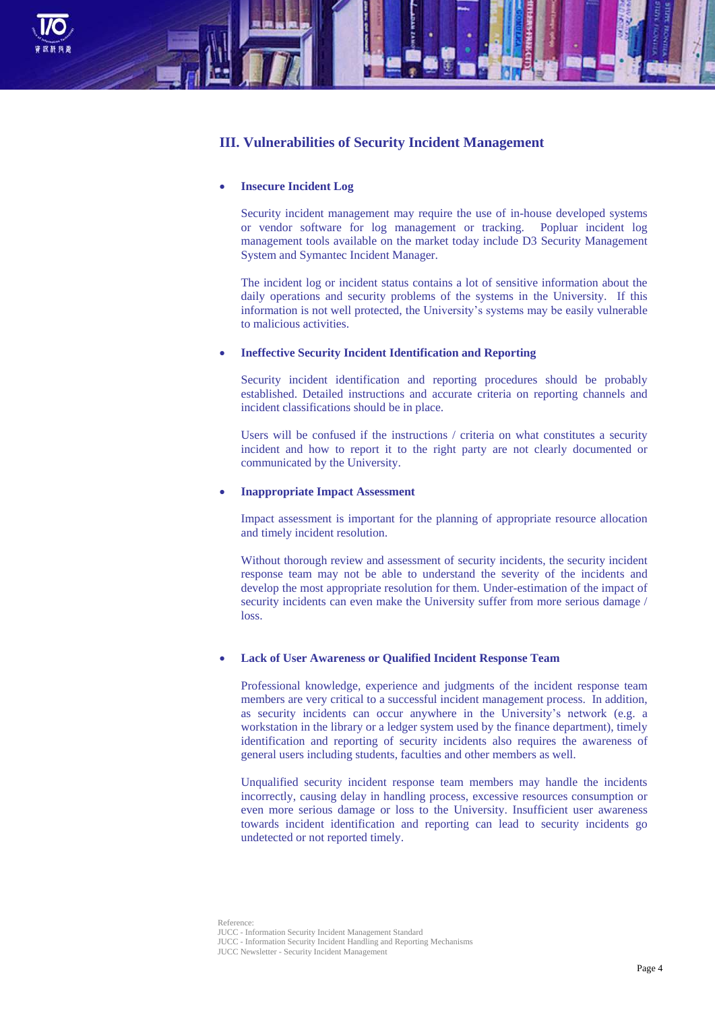

# **III. Vulnerabilities of Security Incident Management**

#### **Insecure Incident Log**

Security incident management may require the use of in-house developed systems or vendor software for log management or tracking. Popluar incident log management tools available on the market today include D3 Security Management System and Symantec Incident Manager.

The incident log or incident status contains a lot of sensitive information about the daily operations and security problems of the systems in the University. If this information is not well protected, the University's systems may be easily vulnerable to malicious activities.

#### **Ineffective Security Incident Identification and Reporting**

Security incident identification and reporting procedures should be probably established. Detailed instructions and accurate criteria on reporting channels and incident classifications should be in place.

Users will be confused if the instructions / criteria on what constitutes a security incident and how to report it to the right party are not clearly documented or communicated by the University.

#### **Inappropriate Impact Assessment**

Impact assessment is important for the planning of appropriate resource allocation and timely incident resolution.

Without thorough review and assessment of security incidents, the security incident response team may not be able to understand the severity of the incidents and develop the most appropriate resolution for them. Under-estimation of the impact of security incidents can even make the University suffer from more serious damage / loss.

## **Lack of User Awareness or Qualified Incident Response Team**

Professional knowledge, experience and judgments of the incident response team members are very critical to a successful incident management process. In addition, as security incidents can occur anywhere in the University's network (e.g. a workstation in the library or a ledger system used by the finance department), timely identification and reporting of security incidents also requires the awareness of general users including students, faculties and other members as well.

Unqualified security incident response team members may handle the incidents incorrectly, causing delay in handling process, excessive resources consumption or even more serious damage or loss to the University. Insufficient user awareness towards incident identification and reporting can lead to security incidents go undetected or not reported timely.

Reference: JUCC - Information Security Incident Management Standard JUCC - Information Security Incident Handling and Reporting Mechanisms JUCC Newsletter - Security Incident Management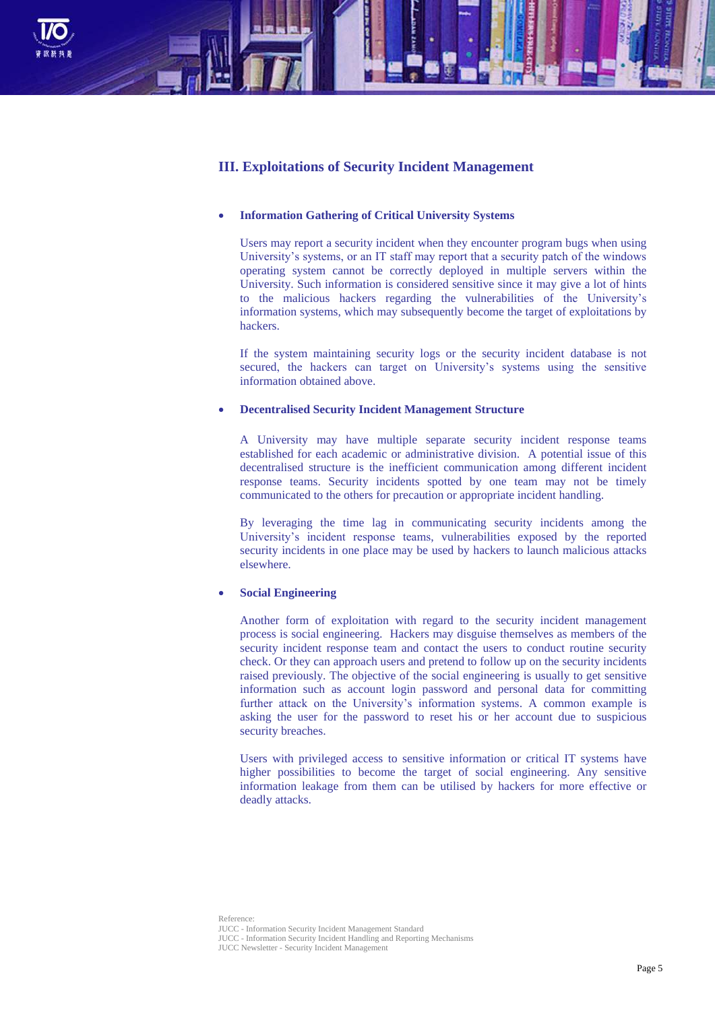

# **III. Exploitations of Security Incident Management**

# **Information Gathering of Critical University Systems**

Users may report a security incident when they encounter program bugs when using University's systems, or an IT staff may report that a security patch of the windows operating system cannot be correctly deployed in multiple servers within the University. Such information is considered sensitive since it may give a lot of hints to the malicious hackers regarding the vulnerabilities of the University's information systems, which may subsequently become the target of exploitations by hackers.

If the system maintaining security logs or the security incident database is not secured, the hackers can target on University's systems using the sensitive information obtained above.

## **Decentralised Security Incident Management Structure**

A University may have multiple separate security incident response teams established for each academic or administrative division. A potential issue of this decentralised structure is the inefficient communication among different incident response teams. Security incidents spotted by one team may not be timely communicated to the others for precaution or appropriate incident handling.

By leveraging the time lag in communicating security incidents among the University's incident response teams, vulnerabilities exposed by the reported security incidents in one place may be used by hackers to launch malicious attacks elsewhere.

#### **Social Engineering**

Another form of exploitation with regard to the security incident management process is social engineering. Hackers may disguise themselves as members of the security incident response team and contact the users to conduct routine security check. Or they can approach users and pretend to follow up on the security incidents raised previously. The objective of the social engineering is usually to get sensitive information such as account login password and personal data for committing further attack on the University's information systems. A common example is asking the user for the password to reset his or her account due to suspicious security breaches.

Users with privileged access to sensitive information or critical IT systems have higher possibilities to become the target of social engineering. Any sensitive information leakage from them can be utilised by hackers for more effective or deadly attacks.

Reference: JUCC - Information Security Incident Management Standard JUCC - Information Security Incident Handling and Reporting Mechanisms JUCC Newsletter - Security Incident Management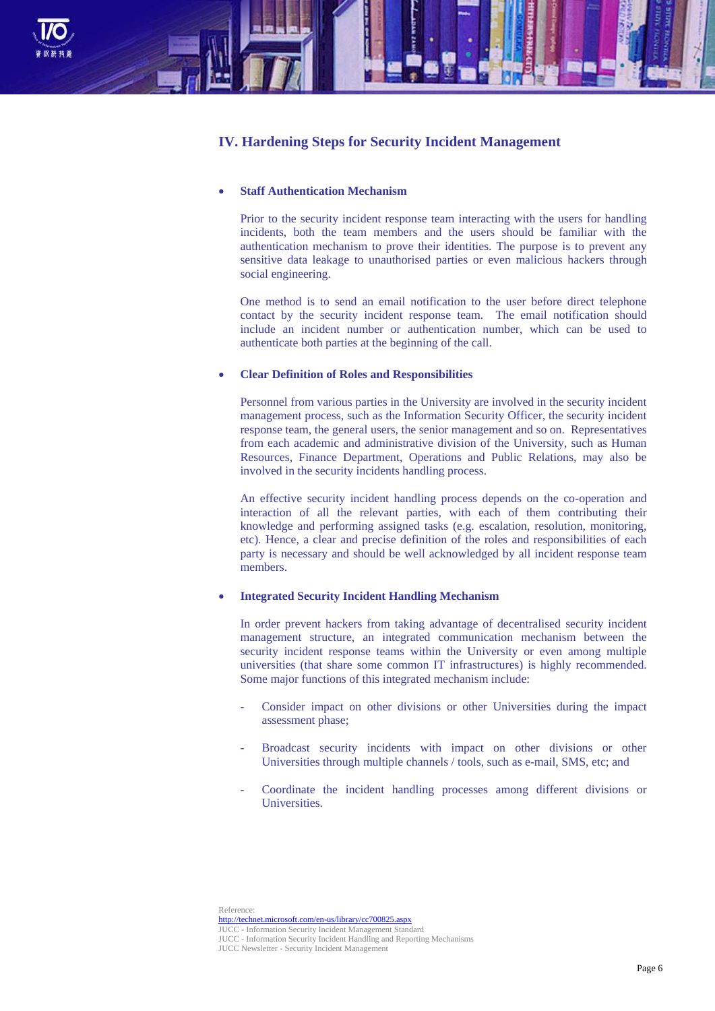

# **IV. Hardening Steps for Security Incident Management**

## **Staff Authentication Mechanism**

Prior to the security incident response team interacting with the users for handling incidents, both the team members and the users should be familiar with the authentication mechanism to prove their identities. The purpose is to prevent any sensitive data leakage to unauthorised parties or even malicious hackers through social engineering.

One method is to send an email notification to the user before direct telephone contact by the security incident response team. The email notification should include an incident number or authentication number, which can be used to authenticate both parties at the beginning of the call.

#### **Clear Definition of Roles and Responsibilities**

Personnel from various parties in the University are involved in the security incident management process, such as the Information Security Officer, the security incident response team, the general users, the senior management and so on. Representatives from each academic and administrative division of the University, such as Human Resources, Finance Department, Operations and Public Relations, may also be involved in the security incidents handling process.

An effective security incident handling process depends on the co-operation and interaction of all the relevant parties, with each of them contributing their knowledge and performing assigned tasks (e.g. escalation, resolution, monitoring, etc). Hence, a clear and precise definition of the roles and responsibilities of each party is necessary and should be well acknowledged by all incident response team members.

## **Integrated Security Incident Handling Mechanism**

In order prevent hackers from taking advantage of decentralised security incident management structure, an integrated communication mechanism between the security incident response teams within the University or even among multiple universities (that share some common IT infrastructures) is highly recommended. Some major functions of this integrated mechanism include:

- Consider impact on other divisions or other Universities during the impact assessment phase;
- Broadcast security incidents with impact on other divisions or other Universities through multiple channels / tools, such as e-mail, SMS, etc; and
- Coordinate the incident handling processes among different divisions or Universities.

Reference: <http://technet.microsoft.com/en-us/library/cc700825.aspx> Information Security Incident Management Standard JUCC - Information Security Incident Handling and Reporting Mechanisms JUCC Newsletter - Security Incident Management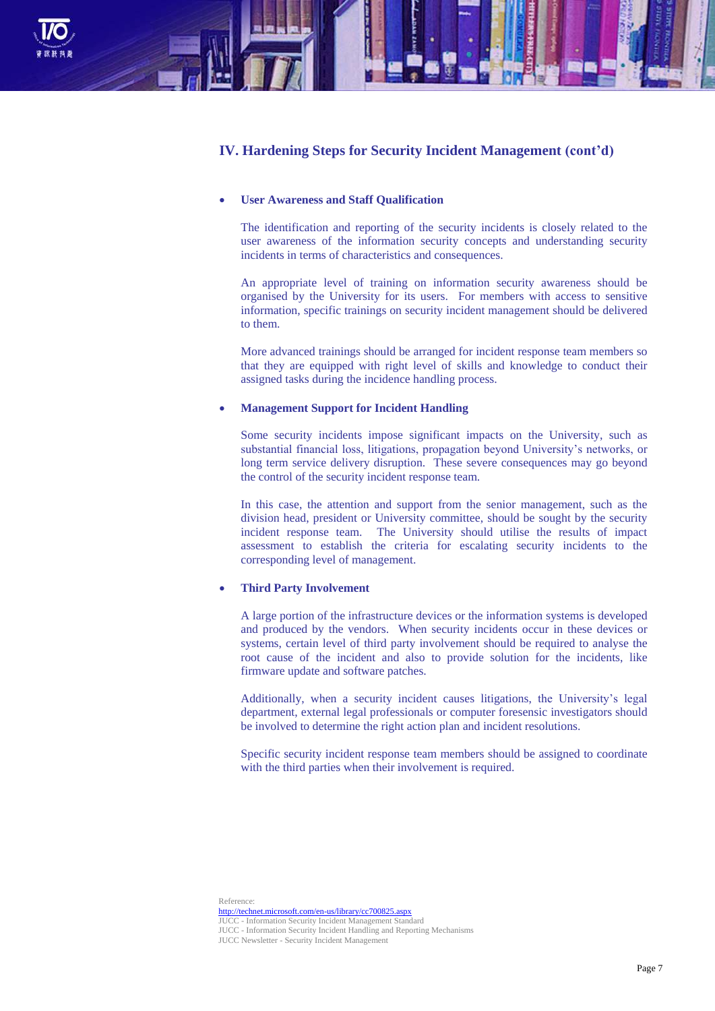

# **IV. Hardening Steps for Security Incident Management (cont'd)**

## **User Awareness and Staff Qualification**

The identification and reporting of the security incidents is closely related to the user awareness of the information security concepts and understanding security incidents in terms of characteristics and consequences.

An appropriate level of training on information security awareness should be organised by the University for its users. For members with access to sensitive information, specific trainings on security incident management should be delivered to them.

More advanced trainings should be arranged for incident response team members so that they are equipped with right level of skills and knowledge to conduct their assigned tasks during the incidence handling process.

#### **Management Support for Incident Handling**

Some security incidents impose significant impacts on the University, such as substantial financial loss, litigations, propagation beyond University's networks, or long term service delivery disruption. These severe consequences may go beyond the control of the security incident response team.

In this case, the attention and support from the senior management, such as the division head, president or University committee, should be sought by the security incident response team. The University should utilise the results of impact assessment to establish the criteria for escalating security incidents to the corresponding level of management.

#### **Third Party Involvement**

A large portion of the infrastructure devices or the information systems is developed and produced by the vendors. When security incidents occur in these devices or systems, certain level of third party involvement should be required to analyse the root cause of the incident and also to provide solution for the incidents, like firmware update and software patches.

Additionally, when a security incident causes litigations, the University's legal department, external legal professionals or computer foresensic investigators should be involved to determine the right action plan and incident resolutions.

Specific security incident response team members should be assigned to coordinate with the third parties when their involvement is required.

Reference: <http://technet.microsoft.com/en-us/library/cc700825.aspx> JUCC - Information Security Incident Management Standard JUCC - Information Security Incident Handling and Reporting Mechanisms JUCC Newsletter - Security Incident Management